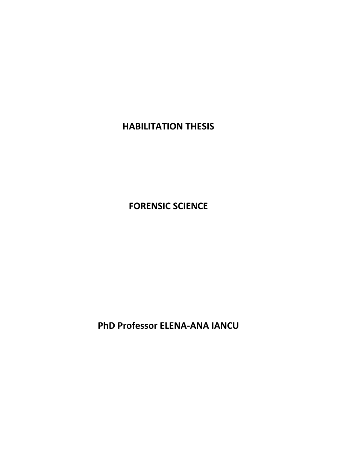# **HABILITATION THESIS**

**FORENSIC SCIENCE**

**PhD Professor ELENA-ANA IANCU**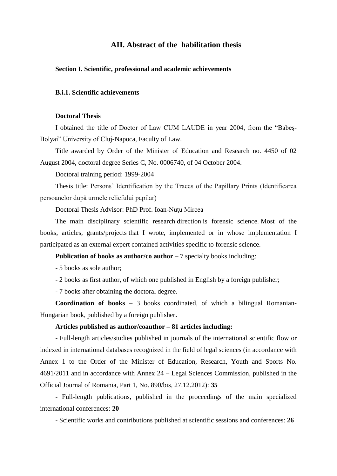## **AII. Abstract of the habilitation thesis**

## **Section I. Scientific, professional and academic achievements**

## **B.i.1. Scientific achievements**

## **Doctoral Thesis**

I obtained the title of Doctor of Law CUM LAUDE in year 2004, from the "Babeş-Bolyai" University of Cluj-Napoca, Faculty of Law.

Title awarded by Order of the Minister of Education and Research no. 4450 of 02 August 2004, doctoral degree Series C, No. 0006740, of 04 October 2004.

Doctoral training period: 1999-2004

Thesis title: Persons' Identification by the Traces of the Papillary Prints (Identificarea persoanelor după urmele reliefului papilar)

Doctoral Thesis Advisor: PhD Prof. Ioan-Nutu Mircea

The main disciplinary scientific research direction is forensic science. Most of the books, articles, grants/projects that I wrote, implemented or in whose implementation I participated as an external expert contained activities specific to forensic science.

**Publication of books as author/co author –** 7 specialty books including:

- 5 books as sole author;

- 2 books as first author, of which one published in English by a foreign publisher;

- 7 books after obtaining the doctoral degree.

**Coordination of books –** 3 books coordinated, of which a bilingual Romanian-Hungarian book, published by a foreign publisher**.** 

## **Articles published as author/coauthor – 81 articles including:**

- Full-length articles/studies published in journals of the international scientific flow or indexed in international databases recognized in the field of legal sciences (in accordance with Annex 1 to the Order of the Minister of Education, Research, Youth and Sports No. 4691/2011 and in accordance with Annex 24 – Legal Sciences Commission, published in the Official Journal of Romania, Part 1, No. 890/bis, 27.12.2012): **35** 

- Full-length publications, published in the proceedings of the main specialized international conferences: **20**

- Scientific works and contributions published at scientific sessions and conferences: **26**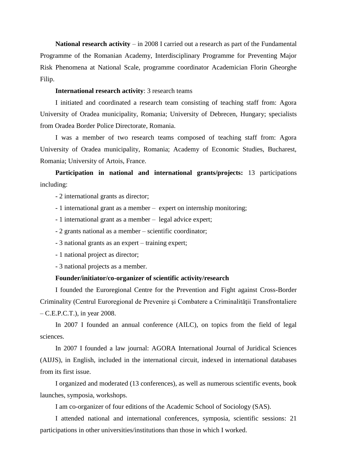**National research activity** – in 2008 I carried out a research as part of the Fundamental Programme of the Romanian Academy, Interdisciplinary Programme for Preventing Major Risk Phenomena at National Scale, programme coordinator Academician Florin Gheorghe Filip.

## **International research activity**: 3 research teams

I initiated and coordinated a research team consisting of teaching staff from: Agora University of Oradea municipality, Romania; University of Debrecen, Hungary; specialists from Oradea Border Police Directorate, Romania.

I was a member of two research teams composed of teaching staff from: Agora University of Oradea municipality, Romania; Academy of Economic Studies, Bucharest, Romania; University of Artois, France.

**Participation in national and international grants/projects:** 13 participations including:

- 2 international grants as director;
- 1 international grant as a member expert on internship monitoring;
- 1 international grant as a member legal advice expert;
- 2 grants national as a member scientific coordinator;
- 3 national grants as an expert training expert;
- 1 national project as director;
- 3 national projects as a member.

## **Founder/initiator/co-organizer of scientific activity/research**

I founded the Euroregional Centre for the Prevention and Fight against Cross-Border Criminality (Centrul Euroregional de Prevenire şi Combatere a Criminalităţii Transfrontaliere – C.E.P.C.T.), in year 2008.

In 2007 I founded an annual conference (AILC), on topics from the field of legal sciences.

In 2007 I founded a law journal: AGORA International Journal of Juridical Sciences (AIJJS), in English, included in the international circuit, indexed in international databases from its first issue.

I organized and moderated (13 conferences), as well as numerous scientific events, book launches, symposia, workshops.

I am co-organizer of four editions of the Academic School of Sociology (SAS).

I attended national and international conferences, symposia, scientific sessions: 21 participations in other universities/institutions than those in which I worked.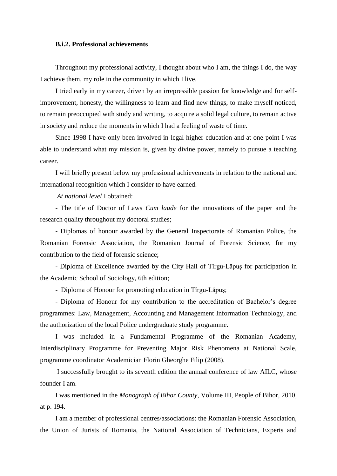## **B.i.2. Professional achievements**

Throughout my professional activity, I thought about who I am, the things I do, the way I achieve them, my role in the community in which I live.

I tried early in my career, driven by an irrepressible passion for knowledge and for selfimprovement, honesty, the willingness to learn and find new things, to make myself noticed, to remain preoccupied with study and writing, to acquire a solid legal culture, to remain active in society and reduce the moments in which I had a feeling of waste of time.

Since 1998 I have only been involved in legal higher education and at one point I was able to understand what my mission is, given by divine power, namely to pursue a teaching career.

I will briefly present below my professional achievements in relation to the national and international recognition which I consider to have earned.

*At national level* I obtained:

- The title of Doctor of Laws *Cum laude* for the innovations of the paper and the research quality throughout my doctoral studies;

- Diplomas of honour awarded by the General Inspectorate of Romanian Police, the Romanian Forensic Association, the Romanian Journal of Forensic Science, for my contribution to the field of forensic science;

- Diploma of Excellence awarded by the City Hall of Tîrgu-Lăpuş for participation in the Academic School of Sociology, 6th edition;

- Diploma of Honour for promoting education in Tîrgu-Lăpuş;

- Diploma of Honour for my contribution to the accreditation of Bachelor's degree programmes: Law, Management, Accounting and Management Information Technology, and the authorization of the local Police undergraduate study programme.

I was included in a Fundamental Programme of the Romanian Academy*,* Interdisciplinary Programme for Preventing Major Risk Phenomena at National Scale, programme coordinator Academician Florin Gheorghe Filip (2008).

I successfully brought to its seventh edition the annual conference of law AILC, whose founder I am.

I was mentioned in the *Monograph of Bihor County*, Volume III, People of Bihor, 2010, at p. 194.

I am a member of professional centres/associations: the Romanian Forensic Association, the Union of Jurists of Romania, the National Association of Technicians, Experts and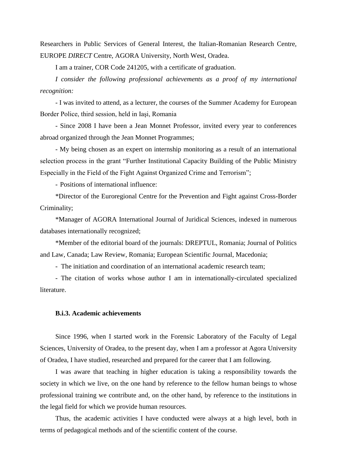Researchers in Public Services of General Interest, the Italian-Romanian Research Centre, EUROPE *DIRECT* Centre, AGORA University, North West, Oradea.

I am a trainer, COR Code 241205, with a certificate of graduation.

*I consider the following professional achievements as a proof of my international recognition:* 

- I was invited to attend, as a lecturer, the courses of the Summer Academy for European Border Police, third session, held in Iaşi, Romania

- Since 2008 I have been a Jean Monnet Professor, invited every year to conferences abroad organized through the Jean Monnet Programmes;

- My being chosen as an expert on internship monitoring as a result of an international selection process in the grant "Further Institutional Capacity Building of the Public Ministry Especially in the Field of the Fight Against Organized Crime and Terrorism";

- Positions of international influence:

\*Director of the Euroregional Centre for the Prevention and Fight against Cross-Border Criminality;

\*Manager of AGORA International Journal of Juridical Sciences, indexed in numerous databases internationally recognized;

\*Member of the editorial board of the journals: DREPTUL, Romania; Journal of Politics and Law, Canada; Law Review, Romania; European Scientific Journal, Macedonia;

- The initiation and coordination of an international academic research team;

- The citation of works whose author I am in internationally-circulated specialized literature.

## **B.i.3. Academic achievements**

Since 1996, when I started work in the Forensic Laboratory of the Faculty of Legal Sciences, University of Oradea, to the present day, when I am a professor at Agora University of Oradea, I have studied, researched and prepared for the career that I am following.

I was aware that teaching in higher education is taking a responsibility towards the society in which we live, on the one hand by reference to the fellow human beings to whose professional training we contribute and, on the other hand, by reference to the institutions in the legal field for which we provide human resources.

Thus, the academic activities I have conducted were always at a high level, both in terms of pedagogical methods and of the scientific content of the course.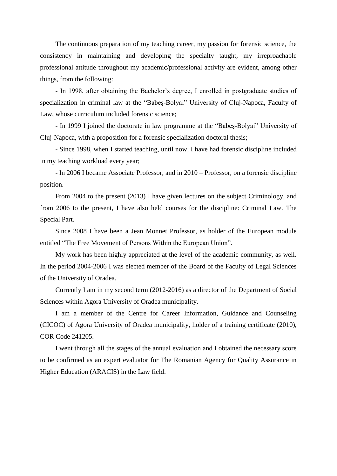The continuous preparation of my teaching career, my passion for forensic science, the consistency in maintaining and developing the specialty taught, my irreproachable professional attitude throughout my academic/professional activity are evident, among other things, from the following:

- In 1998, after obtaining the Bachelor's degree, I enrolled in postgraduate studies of specialization in criminal law at the "Babeş-Bolyai" University of Cluj-Napoca, Faculty of Law, whose curriculum included forensic science;

- In 1999 I joined the doctorate in law programme at the "Babeş-Bolyai" University of Cluj-Napoca, with a proposition for a forensic specialization doctoral thesis;

- Since 1998, when I started teaching, until now, I have had forensic discipline included in my teaching workload every year;

- In 2006 I became Associate Professor, and in 2010 – Professor, on a forensic discipline position.

From 2004 to the present (2013) I have given lectures on the subject Criminology, and from 2006 to the present, I have also held courses for the discipline: Criminal Law. The Special Part.

Since 2008 I have been a Jean Monnet Professor, as holder of the European module entitled "The Free Movement of Persons Within the European Union"*.*

My work has been highly appreciated at the level of the academic community, as well. In the period 2004-2006 I was elected member of the Board of the Faculty of Legal Sciences of the University of Oradea.

Currently I am in my second term (2012-2016) as a director of the Department of Social Sciences within Agora University of Oradea municipality.

I am a member of the Centre for Career Information, Guidance and Counseling (CICOC) of Agora University of Oradea municipality, holder of a training certificate (2010), COR Code 241205.

I went through all the stages of the annual evaluation and I obtained the necessary score to be confirmed as an expert evaluator for The Romanian Agency for Quality Assurance in Higher Education (ARACIS) in the Law field.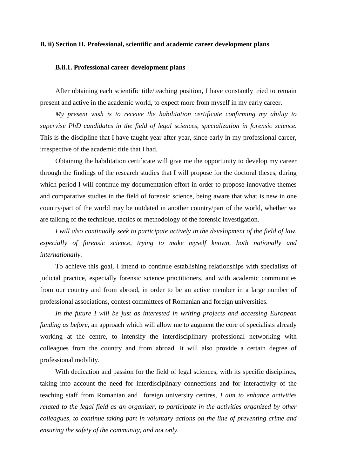## **B. ii) Section II. Professional, scientific and academic career development plans**

## **B.ii.1. Professional career development plans**

After obtaining each scientific title/teaching position, I have constantly tried to remain present and active in the academic world, to expect more from myself in my early career.

*My present wish is to receive the habilitation certificate confirming my ability to supervise PhD candidates in the field of legal sciences, specialization in forensic science.*  This is the discipline that I have taught year after year, since early in my professional career, irrespective of the academic title that I had.

Obtaining the habilitation certificate will give me the opportunity to develop my career through the findings of the research studies that I will propose for the doctoral theses, during which period I will continue my documentation effort in order to propose innovative themes and comparative studies in the field of forensic science, being aware that what is new in one country/part of the world may be outdated in another country/part of the world, whether we are talking of the technique, tactics or methodology of the forensic investigation.

*I will also continually seek to participate actively in the development of the field of law, especially of forensic science, trying to make myself known, both nationally and internationally.* 

To achieve this goal, I intend to continue establishing relationships with specialists of judicial practice, especially forensic science practitioners, and with academic communities from our country and from abroad, in order to be an active member in a large number of professional associations, contest committees of Romanian and foreign universities.

*In the future I will be just as interested in writing projects and accessing European funding as before*, an approach which will allow me to augment the core of specialists already working at the centre, to intensify the interdisciplinary professional networking with colleagues from the country and from abroad. It will also provide a certain degree of professional mobility.

With dedication and passion for the field of legal sciences, with its specific disciplines, taking into account the need for interdisciplinary connections and for interactivity of the teaching staff from Romanian and foreign university centres, *I aim to enhance activities related to the legal field as an organizer, to participate in the activities organized by other colleagues, to continue taking part in voluntary actions on the line of preventing crime and ensuring the safety of the community, and not only.*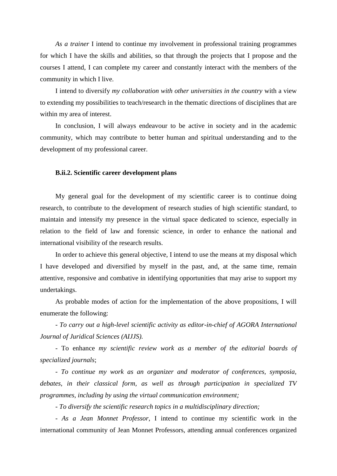*As a trainer* I intend to continue my involvement in professional training programmes for which I have the skills and abilities, so that through the projects that I propose and the courses I attend, I can complete my career and constantly interact with the members of the community in which I live.

I intend to diversify *my collaboration with other universities in the country* with a view to extending my possibilities to teach/research in the thematic directions of disciplines that are within my area of interest.

In conclusion, I will always endeavour to be active in society and in the academic community, which may contribute to better human and spiritual understanding and to the development of my professional career.

#### **B.ii.2. Scientific career development plans**

My general goal for the development of my scientific career is to continue doing research, to contribute to the development of research studies of high scientific standard, to maintain and intensify my presence in the virtual space dedicated to science, especially in relation to the field of law and forensic science, in order to enhance the national and international visibility of the research results.

In order to achieve this general objective, I intend to use the means at my disposal which I have developed and diversified by myself in the past, and, at the same time, remain attentive, responsive and combative in identifying opportunities that may arise to support my undertakings.

As probable modes of action for the implementation of the above propositions, I will enumerate the following:

- *To carry out a high-level scientific activity as editor-in-chief of AGORA International Journal of Juridical Sciences (AIJJS).*

- To enhance *my scientific review work as a member of the editorial boards of specialized journals*;

- *To continue my work as an organizer and moderator of conferences, symposia, debates, in their classical form, as well as through participation in specialized TV programmes, including by using the virtual communication environment;*

- *To diversify the scientific research topics in a multidisciplinary direction;*

- *As a Jean Monnet Professor*, I intend to continue my scientific work in the international community of Jean Monnet Professors, attending annual conferences organized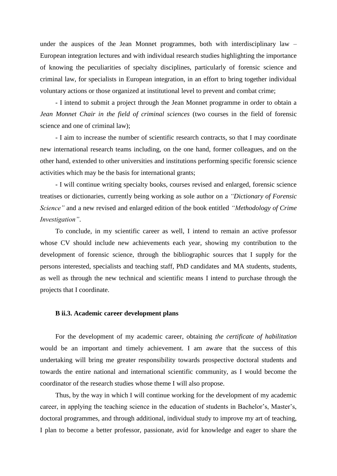under the auspices of the Jean Monnet programmes, both with interdisciplinary law – European integration lectures and with individual research studies highlighting the importance of knowing the peculiarities of specialty disciplines, particularly of forensic science and criminal law, for specialists in European integration, in an effort to bring together individual voluntary actions or those organized at institutional level to prevent and combat crime;

- I intend to submit a project through the Jean Monnet programme in order to obtain a *Jean Monnet Chair in the field of criminal sciences* (two courses in the field of forensic science and one of criminal law);

- I aim to increase the number of scientific research contracts, so that I may coordinate new international research teams including, on the one hand, former colleagues, and on the other hand, extended to other universities and institutions performing specific forensic science activities which may be the basis for international grants;

- I will continue writing specialty books, courses revised and enlarged, forensic science treatises or dictionaries, currently being working as sole author on a *"Dictionary of Forensic Science"* and a new revised and enlarged edition of the book entitled *"Methodology of Crime Investigation"*.

To conclude, in my scientific career as well, I intend to remain an active professor whose CV should include new achievements each year, showing my contribution to the development of forensic science, through the bibliographic sources that I supply for the persons interested, specialists and teaching staff, PhD candidates and MA students, students, as well as through the new technical and scientific means I intend to purchase through the projects that I coordinate.

## **B ii.3. Academic career development plans**

For the development of my academic career, obtaining *the certificate of habilitation*  would be an important and timely achievement. I am aware that the success of this undertaking will bring me greater responsibility towards prospective doctoral students and towards the entire national and international scientific community, as I would become the coordinator of the research studies whose theme I will also propose.

Thus, by the way in which I will continue working for the development of my academic career, in applying the teaching science in the education of students in Bachelor's, Master's, doctoral programmes, and through additional, individual study to improve my art of teaching, I plan to become a better professor, passionate, avid for knowledge and eager to share the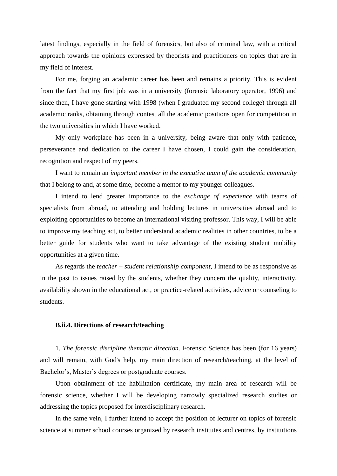latest findings, especially in the field of forensics, but also of criminal law, with a critical approach towards the opinions expressed by theorists and practitioners on topics that are in my field of interest.

For me, forging an academic career has been and remains a priority. This is evident from the fact that my first job was in a university (forensic laboratory operator, 1996) and since then, I have gone starting with 1998 (when I graduated my second college) through all academic ranks, obtaining through contest all the academic positions open for competition in the two universities in which I have worked.

My only workplace has been in a university, being aware that only with patience, perseverance and dedication to the career I have chosen, I could gain the consideration, recognition and respect of my peers.

I want to remain an *important member in the executive team of the academic community* that I belong to and, at some time, become a mentor to my younger colleagues.

I intend to lend greater importance to the *exchange of experience* with teams of specialists from abroad, to attending and holding lectures in universities abroad and to exploiting opportunities to become an international visiting professor. This way, I will be able to improve my teaching act, to better understand academic realities in other countries, to be a better guide for students who want to take advantage of the existing student mobility opportunities at a given time.

As regards the *teacher – student relationship component*, I intend to be as responsive as in the past to issues raised by the students, whether they concern the quality, interactivity, availability shown in the educational act, or practice-related activities, advice or counseling to students.

#### **B.ii.4. Directions of research/teaching**

1. *The forensic discipline thematic direction.* Forensic Science has been (for 16 years) and will remain, with God's help, my main direction of research/teaching, at the level of Bachelor's, Master's degrees or postgraduate courses.

Upon obtainment of the habilitation certificate, my main area of research will be forensic science, whether I will be developing narrowly specialized research studies or addressing the topics proposed for interdisciplinary research.

In the same vein, I further intend to accept the position of lecturer on topics of forensic science at summer school courses organized by research institutes and centres, by institutions